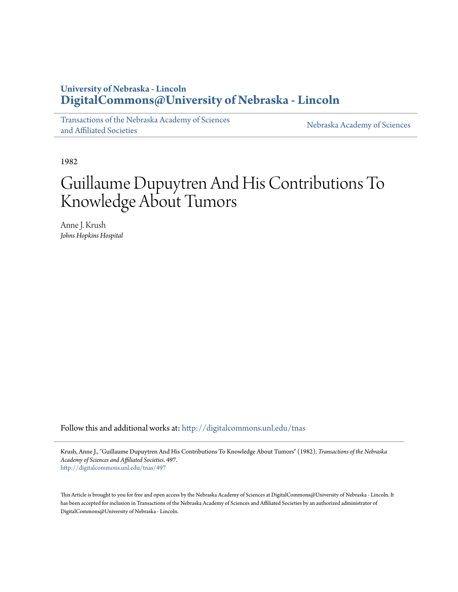## **University of Nebraska - Lincoln [DigitalCommons@University of Nebraska - Lincoln](http://digitalcommons.unl.edu?utm_source=digitalcommons.unl.edu%2Ftnas%2F497&utm_medium=PDF&utm_campaign=PDFCoverPages)**

[Transactions of the Nebraska Academy of Sciences](http://digitalcommons.unl.edu/tnas?utm_source=digitalcommons.unl.edu%2Ftnas%2F497&utm_medium=PDF&utm_campaign=PDFCoverPages) [and Affiliated Societies](http://digitalcommons.unl.edu/tnas?utm_source=digitalcommons.unl.edu%2Ftnas%2F497&utm_medium=PDF&utm_campaign=PDFCoverPages)

[Nebraska Academy of Sciences](http://digitalcommons.unl.edu/nebacadsci?utm_source=digitalcommons.unl.edu%2Ftnas%2F497&utm_medium=PDF&utm_campaign=PDFCoverPages)

1982

# Guillaume Dupuytren And His Contributions To Knowledge About Tumors

Anne J. Krush *Johns Hopkins Hospital*

Follow this and additional works at: [http://digitalcommons.unl.edu/tnas](http://digitalcommons.unl.edu/tnas?utm_source=digitalcommons.unl.edu%2Ftnas%2F497&utm_medium=PDF&utm_campaign=PDFCoverPages)

Krush, Anne J., "Guillaume Dupuytren And His Contributions To Knowledge About Tumors" (1982). *Transactions of the Nebraska Academy of Sciences and Affiliated Societies*. 497. [http://digitalcommons.unl.edu/tnas/497](http://digitalcommons.unl.edu/tnas/497?utm_source=digitalcommons.unl.edu%2Ftnas%2F497&utm_medium=PDF&utm_campaign=PDFCoverPages)

This Article is brought to you for free and open access by the Nebraska Academy of Sciences at DigitalCommons@University of Nebraska - Lincoln. It has been accepted for inclusion in Transactions of the Nebraska Academy of Sciences and Affiliated Societies by an authorized administrator of DigitalCommons@University of Nebraska - Lincoln.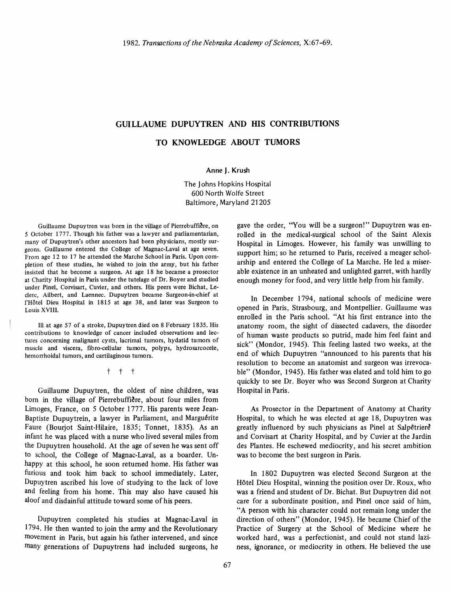### **GUILLAUME DUPUYTREN AND HIS CONTRIBUTIONS**

#### **TO KNOWLEDGE ABOUT TUMORS**

#### **Anne J. Krush**

The J ohns Hopkins Hospital 600 North Wolfe Street Baltimore, Maryland 21205

Guillaume Dupuytren was born in the village of Pierrebuffière, on 5 October 1777. Though his father was a lawyer and parliamentarian, many of Dupuytren's other ancestors had been physicians, mostly surgeons. Guillaume entered the College of Magnac-Laval at age seven. From age 12 to 17 he attended the Marche School in Paris. Upon completion of these studies, he wished to join the army, but his father insisted that he become a surgeon. At age 18 he became a prosector at Charity Hospital in Paris under the tutelage of Dr. Boyer and studied under Pinel, Corvisart, Cuvier, and others. His peers were Bichat, Lederc, Ailbert, and Laennec. Dupuytren became Surgeon-in-chief at l'Hôtel Dieu Hospital in 1815 at age 38, and later was Surgeon to Louis XVIII.

III at age 57 of a stroke, Dupuytrendied on 8 February 1835. His contributions to knowledge of cancer included observations and lectures concerning malignant cysts, lacrimal tumors, hydatid tumors of muscle and viscera, fibro-cellular tumors, polyps, hydrosarcocele, hemorrhoidal tumors, and cartilaginous tumors.

t t t

Guillaume Dupuytren, the oldest of nine children, was born in the village of Pierrebuffière, about four miles from Limoges, France, on 5 October 1777. His parents were Jean-Baptiste Dupuytrein, a lawyer in Parliament, and Marguérite Faure (Bourjot Saint-Hilaire, 1835; Tonnet, 1835). As an infant he was placed with a nurse who lived several miles from the Dupuytren household. At the age of seven he was sent off to school, the College of Magnac-Laval, as a boarder. Unhappy at this school, he soon returned home. His father was furious and took him back to school immediately. Later, Dupuytren ascribed his love of studying to the lack of love and feeling from his home. This may also have caused his aloof and disdainful attitude toward some of his peers.

Dupuytren completed his studies at Magnac-Laval in 1794. He then wanted to join the army and the Revolutionary movement in Paris, but again his father intervened, and since many generations of Dupuytrens had included surgeons, he gave the order, "You will be a surgeon!" Dupuytren was enrolled in the medical-surgical school of the Saint Alexis Hospital in Limoges. However, his family was unwilling to support him; so he returned to Paris, received a meager scholarship and entered the College of La Marche. He led a miserable existence in an unheated and unlighted garret, with hardly enough money for food, and very little help from his family.

**In** December 1794, national schools of medicine were opened in Paris, Strasbourg, and Montpellier. Guillaume was enrolled in the Paris school. "At his first entrance into the anatomy room, the sight of dissected cadavers, the disorder of human waste products so putrid, made him feel faint and sick" (Mondor, 1945). This feeling lasted two weeks, at the end of which Dupuytren "announced to his parents that his resolution to become an anatomist and surgeon was irrevocable" (Mondor, 1945). His father was elated and told him to go quickly to see Dr. Boyer who was Second Surgeon at Charity Hospital in Paris.

As Prosector in the Department of Anatomy at Charity Hospital, to which he was elected at age 18, Dupuytren was greatly influenced by such physicians as Pinel at Salpêtriere and Corvisart at Charity Hospital, and by Cuvier at the Jardin des Plantes. He eschewed mediocrity, and his secret ambition was to become the best surgeon in Paris.

**In** 1802 Dupuytren was elected Second Surgeon at the Hôtel Dieu Hospital, winning the position over Dr. Roux, who was a friend and student of Dr. Bichat. But Dupuytren did not care for a subordinate position, and Pinel once said of him, "A person with his character could not remain long under the direction of others" (Mondor, 1945). He became Chief of the Practice of Surgery at the School of Medicine where he worked hard, was a perfectionist, and could not stand laziness, ignorance, or mediocrity in others. He believed the use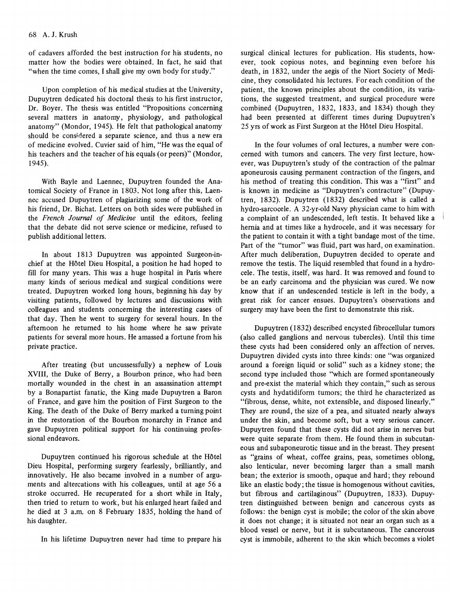of cadavers afforded the best instruction for his students, no matter how the bodies were obtained. In fact, he said that "when the time comes, I shall give my own body for study."

Upon completion of his medical studies at the University, Dupuytren dedicated his doctoral thesis to his first instructor, Dr. Boyer. The thesis was entitled "Propositions concerning several matters in anatomy, physiology, and pathological anatomy" (Mondor, 1945). He felt that pathological anatomy should be considered a separate science, and thus a new era of medicine evolved. Cuvier said of him, "He was the equal of his teachers and the teacher of his equals (or peers)" (Mondor, 1945).

With Bayle and Laennec, Dupuytren founded the Anatomical Society of France in 1803. Not long after this, Laennec accused Dupuytren of plagiarizing some of the work of his friend, Dr. Bichat. Letters on both sides were published in the *French Journal of Medicine* until the editors, feeling that the debate did not serve science or medicine, refused to publish additional letters.

In about 1813 Dupuytren was appointed Surgeon-inchief at the Hotel Dieu Hospital, a position he had hoped to fill for many years. This was a huge hospital in Paris where many kinds of serious medical and surgical conditions were treated. Dupuytren worked long hours, beginning his day by visiting patients, followed by lectures and discussions with colleagues and students concerning the interesting cases of that day. Then he went to surgery for several hours. In the afternoon he returned to his home where he saw private patients for several more hours. He amassed a fortune from his private practice.

After treating (but uncussessfully) a nephew of Louis XVIII, the Duke of Berry, a Bourbon prince, who had been mortally wounded in the chest in an assassination attempt by a Bonapartist fanatic, the King made Dupuytren a Baron of France, and gave him the position of First Surgeon to the King. The death of the Duke of Berry marked a turning point in the restoration of the Bourbon monarchy in France and gave Dupuytren political support for his continuing professional endeavors.

Dupuytren continued his rigorous schedule at the HOtel Dieu Hospital, performing surgery fearlessly, brilliantly, and innovatively. He also became involved in a number of arguments and altercations with his colleagues, until at age 56 a stroke occurred. He recuperated for a short while in Italy, then tried to return to work, but his enlarged heart failed and he died at 3 a.m. on 8 February 1835, holding the hand of his daughter.

In his lifetime Dupuytren never had time to prepare his

surgical clinical lectures for publication. His students, however, took copious notes, and beginning even before his death, in 1832, under the aegis of the Niort Society of Medicine, they consolidated his lectures. For each condition of the patient, the known principles about the condition, its variations, the suggested treatment, and surgical procedure were combined (Dupuytren, 1832, 1833, and 1834) though they had been presented at different times during Dupuytren's 25 yrs of work as First Surgeon at the Hôtel Dieu Hospital.

In the four volumes of oral lectures, a number were concerned with tumors and cancers. The very first lecture, however, was Dupuytren's study of the contraction of the palmar aponeurosis causing permanent contraction of the fingers, and his method of treating this condition. This was a "first" and is known in medicine as "Dupuytren's contracture" (Dupuytren, 1832). Dupuytren (1832) described what is called a hydro-sarcocele. A 32-yr-old Navy physician came to him with a complaint of an undescended, left testis. It behaved like a hernia and at times like a hydrocele, and it was necessary for the patient to contain it with a tight bandage most of the time. Part of the "tumor" was fluid, part was hard, on examination. After much deliberation, Dupuytren decided to operate and remove the testis. The liquid resembled that found in a hydrocele. The testis, itself, was hard. It was removed and found to be an early carcinoma and the physician was cured. We now know that if an undescended testicle is left in the body, a great risk for cancer ensues. Dupuytren's observations and surgery may have been the first to demonstrate this risk.

Dupuytren (1832) described encysted fibrocellular tumors (also called ganglions and nervous tubercles). Until this time these cysts had been considered only an affection of nerves. Dupuytren divided cysts into three kinds: one "was organized around a foreign liquid or solid" such as a kidney stone; the second type included those "which are formed spontaneously and pre-exist the material which they contain," such as serous cysts and hydatidiform tumors; the third he characterized as "fibrous, dense, white, not extensible, and disposed linearly." They are round, the size of a pea, and situated nearly always under the skin, and become soft, but a very serious cancer. Dupuytren found that these cysts did not arise in nerves but were quite separate from them. He found them in subcutaneous and subaponeurotic tissue and in the breast. They present as "grains of wheat, coffee grains, peas, sometimes oblong, also lenticular, never becoming larger than a small marsh bean; the exterior is smooth, opaque and hard; they rebound like an elastic body; the tissue is homogenous without cavities, but fibrous and cartilaginous" (Dupuytren, 1833). Dupuytren distinguished between benign and cancerous cysts as follows: the benign cyst is mobile; the color of the skin above it does not change; it is situated not near an organ such as a blood vessel or nerve, but it is subcutaneous. The cancerous cyst is immobile, adherent to the skin which becomes a violet